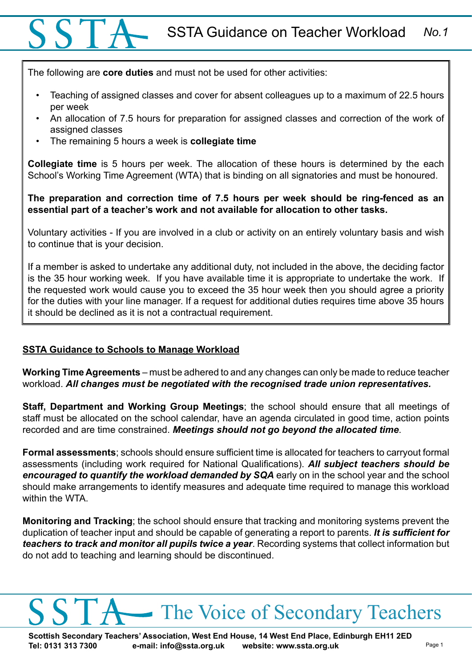## SSTA Guidance on Teacher Workload *No.1*

The following are **core duties** and must not be used for other activities:

- Teaching of assigned classes and cover for absent colleagues up to a maximum of 22.5 hours per week
- An allocation of 7.5 hours for preparation for assigned classes and correction of the work of assigned classes
- The remaining 5 hours a week is **collegiate time**

**Collegiate time** is 5 hours per week. The allocation of these hours is determined by the each School's Working Time Agreement (WTA) that is binding on all signatories and must be honoured.

**The preparation and correction time of 7.5 hours per week should be ring-fenced as an essential part of a teacher's work and not available for allocation to other tasks.** 

Voluntary activities - If you are involved in a club or activity on an entirely voluntary basis and wish to continue that is your decision.

If a member is asked to undertake any additional duty, not included in the above, the deciding factor is the 35 hour working week. If you have available time it is appropriate to undertake the work. If the requested work would cause you to exceed the 35 hour week then you should agree a priority for the duties with your line manager. If a request for additional duties requires time above 35 hours it should be declined as it is not a contractual requirement.

## **SSTA Guidance to Schools to Manage Workload**

**Working Time Agreements** – must be adhered to and any changes can only be made to reduce teacher workload. *All changes must be negotiated with the recognised trade union representatives.*

**Staff, Department and Working Group Meetings**; the school should ensure that all meetings of staff must be allocated on the school calendar, have an agenda circulated in good time, action points recorded and are time constrained. *Meetings should not go beyond the allocated time*.

**Formal assessments**; schools should ensure sufficient time is allocated for teachers to carryout formal assessments (including work required for National Qualifications). *All subject teachers should be encouraged to quantify the workload demanded by SQA* early on in the school year and the school should make arrangements to identify measures and adequate time required to manage this workload within the WTA.

**Monitoring and Tracking**; the school should ensure that tracking and monitoring systems prevent the duplication of teacher input and should be capable of generating a report to parents. *It is sufficient for teachers to track and monitor all pupils twice a year*. Recording systems that collect information but do not add to teaching and learning should be discontinued.